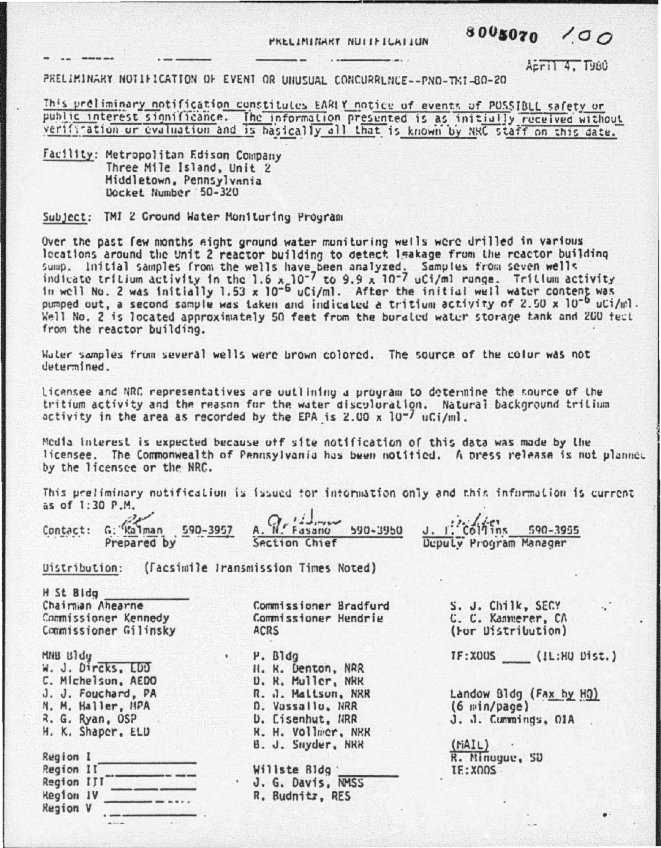PRELININARY NULLELLAILUN

## 8005070  $100$

Acril 4. T980

PRELIMINARY NOTIFICATION OF EVENT OR UNUSUAL CONCURRENCE--PNO-TKI-80-20

This preliminary notification constitutes EARIY notice of events of PUSSIBLL safety or public interest significance. The information presented is as initially received without verification or evaluation and is basically all that is known by NRC staff on this date.

Facility: Metropolitan Edison Company Three Mile Island, Unit 2 Middletown, Pennsylvania Docket Number 50-320

Subject: TMI 2 Cround Water Monitoring Program

Over the past few months eight ground water monitoring wells were drilled in various locations around the Unit 2 reactor building to detect leakage from the reactor building sump. Initial samples from the wells have been analyzed. Samples from seven wells<br>indicate tritium activity in the 1.6 x 10<sup>-7</sup> to 9.9 x 10<sup>-7</sup> uCi/ml range. Tritium activity<br>in well No. 2 was initially 1.53 x 10<sup>-6</sup> uCi/ pumped out, a second sample was taken and indicated a tritium activity of 2.50 x 10<sup>-6</sup> uCi/ml. Well No. 2 is located approximately 50 feet from the buraled water storage tank and 200 feet from the reactor building.

Water samples from several wells were brown colored. The source of the color was not  $d$ *aturminad* 

licensee and NRC representatives are outlining a program to determine the source of the tritium activity and the reason for the water disculuration. Natural background tritium activity in the area as recorded by the EPA is 2.00 x  $10^{-7}$  uCi/ml.

Modia interest is expected because off site notification of this data was made by the licensee. The Commonwealth of Pennsylvania has been notitied. A press release is not planned by the licensee or the NRC.

This preliminary notification is issued tor intormation only and this information is current as of 1:30 P.M.

|  | Contact: G: $\frac{\sqrt{2}}{2}$ man 590-3957 A. W. Fasano 590-3950 J. I. Coltins 590-3955 |  |
|--|--------------------------------------------------------------------------------------------|--|
|  |                                                                                            |  |

**Uistribution:** (Facsimile Iransmission Times Noted)

H St Bidg Chairman Ahearne Commissioner Kennedy Commissioner Gilinsky

MNB Bldu W. J. Dircks, EDD C. Michelson, AEDO J. J. Fouchard, PA N. M. Haller, MPA R. G. Ryan, OSP H. K. Shaper, ELD

| Region I         |  |
|------------------|--|
| Region II        |  |
| Region III       |  |
| <b>Region IV</b> |  |
| <b>Region V</b>  |  |

Commissioner Bradfurd Commissioner Hendrie ACRS

P. Bldg H. K. Denton, NRR **D. R. Muller, NRR** R. J. Maltson, NRR D. Vassallo, NRR **D. Cisenhut, NRR** R. H. Vollmer, NRR B. J. Snyder, NRR Willste Bldg J. G. Davis, NMSS R. Budnitz, RES

S. J. Chilk, SECY C. C. Kannerer, CA (For Distribution)

IF:XOUS (IL:HU Dist.)

Landow Bldg (Fax by HQ)  $(6 \text{ min/page})$ J. J. Cumminds, OIA

 $(\text{NAIL})$ R. Minuque, SD **IE:X005**